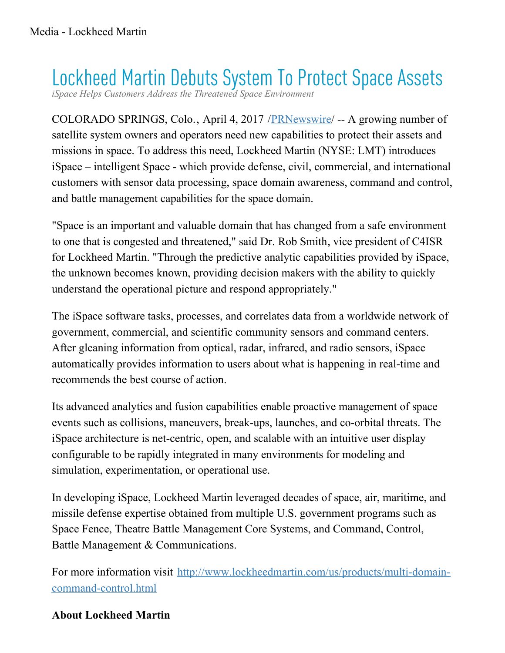## Lockheed Martin Debuts System To Protect Space Assets

*iSpace Helps Customers Address the Threatened Space Environm* 

COLORADO SPRINGS, Colo., April 4, 2017 /[PRNewswire/](http://www.prnewswire.com/) -- A growing number of satellite system owners and operators need new capabilities to protect their assets and missions in space. To address this need, Lockheed Martin (NYSE: LMT) introduces iSpace – intelligent Space - which provide defense, civil, commercial, and international customers with sensor data processing, space domain awareness, command and control, and battle management capabilities for the space domain.

"Space is an important and valuable domain that has changed from a safe environment to one that is congested and threatened," said Dr. Rob Smith, vice president of C4ISR for Lockheed Martin. "Through the predictive analytic capabilities provided by iSpace, the unknown becomes known, providing decision makers with the ability to quickly understand the operational picture and respond appropriately."

The iSpace software tasks, processes, and correlates data from a worldwide network of government, commercial, and scientific community sensors and command centers. After gleaning information from optical, radar, infrared, and radio sensors, iSpace automatically provides information to users about what is happening in real-time and recommends the best course of action.

Its advanced analytics and fusion capabilities enable proactive management of space events such as collisions, maneuvers, break-ups, launches, and co-orbital threats. The iSpace architecture is net-centric, open, and scalable with an intuitive user display configurable to be rapidly integrated in many environments for modeling and simulation, experimentation, or operational use.

In developing iSpace, Lockheed Martin leveraged decades of space, air, maritime, and missile defense expertise obtained from multiple U.S. government programs such as Space Fence, Theatre Battle Management Core Systems, and Command, Control, Battle Management & Communications.

For more information visit [http://www.lockheedmartin.com/us/products/multi-domain](http://www.lockheedmartin.com/us/products/multi-domain-command-control.html)command-control.html

## **About Lockheed Martin**